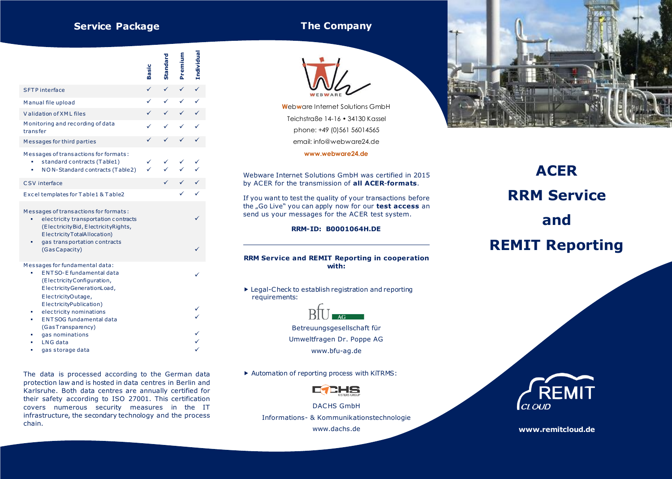# **Service Package**

## **The Company**



The data is processed according to the German data protection law and is hosted in data centres in Berlin and Karlsruhe. Both data centres are annually certified for their safety according to ISO 27001. This certification covers numerous security measures in the IT infrastructure, the secondary technology and the process chain.



**W**eb**w**are Internet Solutions GmbH Teichstraße 14-16 • 34130 Kassel phone: +49 (0)561 56014565 email: info@webware24.de

**www.webware24.de**

Webware Internet Solutions GmbH was certified in 2015 by ACER for the transmission of **all ACER**-**formats**.

If you want to test the quality of your transactions before the "Go Live" you can apply now for our **test access** an send us your messages for the ACER test system.

#### **RRM-ID: B0001064H.DE**

#### **RRM Service and REMIT Reporting in cooperation with:**

 Legal-Check to establish registration and reporting requirements:



Betreuungsgesellschaft für Umweltfragen Dr. Poppe AG www.bfu-ag.de

▶ Automation of reporting process with KiTRMS:



DACHS GmbH Informations- & Kommunikationstechnologie

www.dachs.de



# **ACER RRM Service and REMIT Reporting**



**www.remitcloud.de**